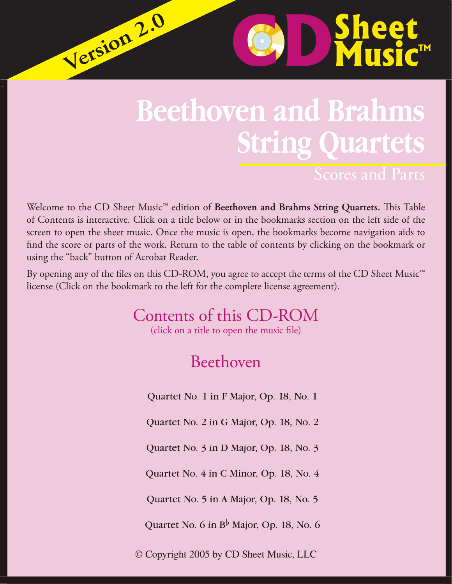## **Beethoven and Brahms String Quartets**

**D**Sheet

Welcome to the CD Sheet Music<sup>™</sup> edition of Beethoven and Brahms String Quartets. This Table of Contents is interactive. Click on a title below or in the bookmarks section on the left side of the screen to open the sheet music. Once the music is open, the bookmarks become navigation aids to find the score or parts of the work. Return to the table of contents by clicking on the bookmark or using the "back" button of Acrobat Reader.

 $\sqrt{\text{e}}$  rsion 2.0

By opening any of the files on this CD-ROM, you agree to accept the terms of the CD Sheet Music<sup>™</sup> license (Click on the bookmark to the left for the complete license agreement).

Contents of this CD-ROM

(click on a title to open the music file)

## Beethoven

Quartet No. 1 in F Major, Op. 18, No. 1

Quartet No. 2 in G Major, Op. 18, No. 2

Quartet No. 3 in D Major, Op. 18, No. 3

Quartet No. 4 in C Minor, Op. 18, No. 4

Quartet No. 5 in A Major, Op. 18, No. 5

Quartet No. 6 in  $B^{\flat}$  Major, Op. 18, No. 6

© Copyright 2005 by CD Sheet Music, LLC